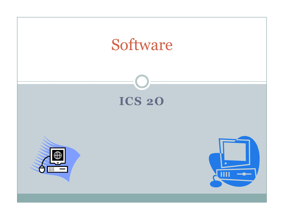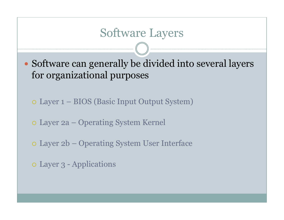# Software Layers

• Software can generally be divided into several layers for organizational purposes Software Layers<br>
Software can generally be divided into several layer organizational purposes<br>
o Layer 1 – BIOS (Basic Input Output System)<br>
o Layer 2a – Operating System Kernel Software can generally be divided into<br>for organizational purposes<br> $\circ$  Layer 1 – BIOS (Basic Input Output System)<br> $\circ$  Layer 2a – Operating System Kernel<br> $\circ$  Layer 2b – Operating System User Interface Software can generally be divided into several laye<br>for organizational purposes<br> $\circ$  Layer 1 – BIOS (Basic Input Output System)<br> $\circ$  Layer 2a – Operating System Kernel<br> $\circ$  Layer 2b – Operating System User Interface<br> $\circ$  L for organizational purposes<br>
o Layer 1 – BIOS (Basic Input Output System<br>
o Layer 2a – Operating System Kernel<br>
o Layer 2b – Operating System User Interface<br>
o Layer 3 - Applications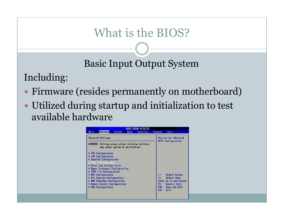# What is the BIOS?

Basic Input Output System

Including:

- Firmware (resides permanently on motherboard)
- Utilized during startup and initialization to test available hardware

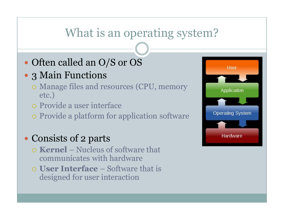# What is an operating system?

- Often called an O/S or OS
- 3 Main Functions
- Manage files and resources (CPU, memory etc.) Often called an O/S or OS<br>
3 Main Functions<br>  $\circ$  Manage files and resources (CPU, memory<br>
etc.)<br>  $\circ$  Provide a user interface<br>  $\circ$  Provide a platform for application software<br>
Consists of 2 parts<br>  $\circ$  Kernel – Nucleus S Main 1 unctions<br>
o Manage files and resources (CPU, memory<br>
etc.)<br>
o Provide a user interface<br>
o Provide a platform for application software<br> **Consists of 2 parts**<br> **Consists of 2 parts**<br> **Consists of 2 parts**<br> **Consists** 
	- Provide a user interface
	- **Provide a platform for application software**
- Consists of 2 parts
	- communicates with hardware
	- designed for user interaction

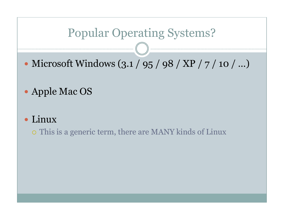# Popular Operating Systems?

- Microsoft Windows (3.1 / 95 / 98 / XP / 7 / 10 / ...)
- Apple Mac OS
- Linux
	- This is a generic term, there are MANY kinds of Linux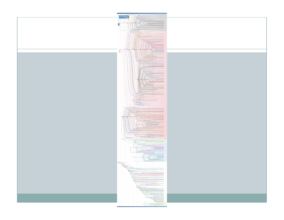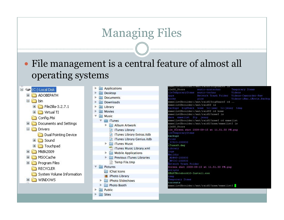# Managing Files

• File management is a central feature of almost all operating systems



|                                       | :2eDS Store music-nontechno Temporary Items    |                                           |
|---------------------------------------|------------------------------------------------|-------------------------------------------|
| :2eTemporaryItems music-techno        |                                                | Videos                                    |
| Apps                                  |                                                | Network Trash Folder Videos-Camcorder-Raw |
| books                                 | pics                                           | Videos-iMac.iMovie.Backup                 |
|                                       | emmellst@boulder:/mnt/raid5/bigShare\$ cd      |                                           |
| emmellst@boulder:/mnt/raid5\$ ls      |                                                |                                           |
|                                       | backups bigShare home tc-imac tc-jenny temp    |                                           |
| emmellst@boulder:/mnt/raid5\$ cd home |                                                |                                           |
| emmellst@boulder:/mnt/raid5/home\$ ls |                                                |                                           |
| dave emmellst ftp jenny               |                                                |                                           |
|                                       | emmellst@boulder:/mnt/raid5/home\$ cd emmellst |                                           |
|                                       | emmellst@boulder:/mnt/raid5/home/emmellst\$ ls |                                           |
| :2eDS Store                           |                                                |                                           |
|                                       | :2e Screen shot 2009-09-15 at 11.51.50 PM.png  |                                           |
| :2eTemporaryItems                     |                                                |                                           |
| backups                               |                                                |                                           |
| files                                 |                                                |                                           |
| ICS20-200930                          |                                                |                                           |
| iTunes9.dmg                           |                                                |                                           |
| Library                               |                                                |                                           |
| logs                                  |                                                |                                           |
| Maildir                               |                                                |                                           |
| MDM4U-200930                          |                                                |                                           |
| MFC3C-200930                          |                                                |                                           |
| Network Trash Folder                  |                                                |                                           |
|                                       | Screen shot 2009-09-15 at 11.51.50 PM.png      |                                           |
| scripts                               |                                                |                                           |
| SMARTNotebook10-Install.exe           |                                                |                                           |
| temp                                  |                                                |                                           |
| Temporary Items                       |                                                |                                           |
| torrents                              |                                                |                                           |
|                                       | emmellst@boulder:/mnt/raid5/home/emmellst\$    |                                           |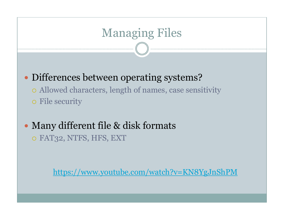# Managing Files

### • Differences between operating systems? Allowed characters, length of names, case sensitivity o File security

 Many different file & disk formats FAT32, NTFS, HFS, EXT

https://www.youtube.com/watch?v=KN8YgJnShPM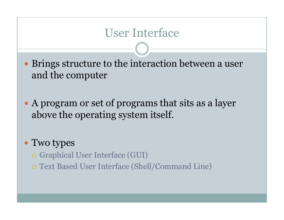# User Interface

• Brings structure to the interaction between a user and the computer

 A program or set of programs that sits as a layer above the operating system itself.

• Two types

Graphical User Interface (GUI)

Text Based User Interface (Shell/Command Line)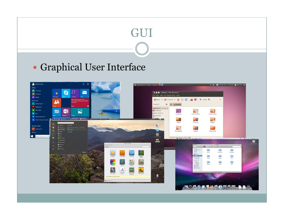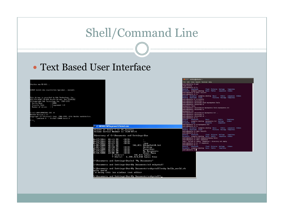## Shell/Command Line

#### Text Based User Interface

#### Starten von MS-DOS...

IIMEM testet den erweiterten Speicher...beendet.

This driver is provided by Oak Technology, Inc..<br>OTI-91X ATAPI CD-ROM device driver, Rev D91XV352<br>COCopyright Oak Technology Inc. 1997-1997<br>Device Nane : CDROM<br>Transfer Mode : Programmed I/O<br>Number of drives : 1

:\>C:\DOS\SMARTDRV.EXE /X<br>SCDEX Version 2.23<br>opyright (C) Microsoft Corp. 1986-1993. Alle Rechte vorbehalten.<br>- Laufuerk D: = Treiber CDROM Gerät 0

#### ex C: WINDOWS\system32\cmd.exe

Uolume in drive C is OS\_Install<br>Uolume Serial Number is 3CD8-0714

Directory of C:\Documents and Settings\Dan

|                     |                                 | $\langle DIR \rangle$   | ٠                                 |
|---------------------|---------------------------------|-------------------------|-----------------------------------|
|                     |                                 |                         |                                   |
|                     |                                 |                         | $-$ qem                           |
| L1/05/2008 02:21 AM |                                 |                         | 341.831 AdobeFnt10.1st            |
|                     | 1/01/2011 09:50 PM              | <dir></dir>             | Desktop                           |
|                     |                                 |                         | Favorites                         |
|                     |                                 |                         | My Documents                      |
|                     | 09/28/2008 10:08 PM <dir></dir> |                         | Start Menu                        |
|                     |                                 | 1 File(s) 341.831 bytes |                                   |
|                     |                                 |                         | 7 Dir(s) 6,398,414,848 bytes free |

:\Documents and Settings\Dan>cd "My Documents"

**::\Documents and Settings\Dan\My Documents>cd rubystuff:** 

::\Documents and Settings\Dan\My Documents\rubystuff>ruby hello\_world.rb

ello world<br>'m doing this ina windows text editor

:\Documents and Settings\Dan\My Documents\rubystuff}

| <b>O</b> andrea@ubuntu: ~                                                                                    |  |
|--------------------------------------------------------------------------------------------------------------|--|
| File Edit View Search Terminal Help                                                                          |  |
| andrea@ubuntu:~\$ pwd                                                                                        |  |
| /home/andrea                                                                                                 |  |
| andrea@ubuntu:~\$ ls                                                                                         |  |
| Desktop Downloads<br>flash Pictures<br>Railapp Templates                                                     |  |
| Documents examples.desktop Music Public<br>sequences Videos<br>andrea@ubuntu:~\$ mkdir bioinfo               |  |
| andrea@ubuntu:~\$ ls                                                                                         |  |
| bioinfo Documents examples.desktop Music<br><b>Public</b> sequences Videos                                   |  |
| Pictures<br><b>Railapp Templates</b><br>Desktop Downloads flash                                              |  |
| andrea@ubuntu:~\$ cd bioinfo                                                                                 |  |
| andrea@ubuntu:~/bioinfo\$ ls                                                                                 |  |
| andrea@ubuntu:~/bioinfo\$ touch mysequence.fasta                                                             |  |
| andrea@ubuntu:~/bioinfo\$ ls                                                                                 |  |
| mysequence.fasta                                                                                             |  |
| andrea@ubuntu:~/bioinfo\$ mv mysequence.fasta mysequence.txt<br>andrea@ubuntu:~/bioinfo\$ ls                 |  |
| mysequence.txt                                                                                               |  |
| andrea@ubuntu:~/bioinfo\$ mv mysequence.txt                                                                  |  |
| andrea@ubuntu:~/bioinfo\$ ls                                                                                 |  |
| andrea@ubuntu:~/bioinfo\$ cd                                                                                 |  |
| andrea@ubuntu:~\$ ls                                                                                         |  |
| pioinfo<br><b>DownLoads</b><br><b>Music</b><br>Public<br><b>Templates</b>                                    |  |
| Desktop examples.desktop mysequence.txt Railapp<br>Videos<br>Documents flash<br><b>Pictures</b><br>sequences |  |
| andrea@ubuntu:~\$ rm mysequence.txt                                                                          |  |
| andrea@ubuntu:~\$ls                                                                                          |  |
| bioinfo Documents examples.desktop Music - Public sequences Videos                                           |  |
| Pictures<br><b>Railapp Templates</b><br>Desktop Downloads flash                                              |  |
| andrea@ubuntu:~\$ rmdir bioinfo                                                                              |  |
| andrea@ubuntu:~\$ ls                                                                                         |  |
| Railapp<br>Desktop<br>Downloads<br>flash Pictures<br>Templates                                               |  |
| Documents examples.desktop Music Public<br>sequences Videos<br>andrea@ubuntu:~\$ touch sequences/myseq.fasta |  |
| andrea@ubuntu:~\$ rmdir sequences                                                                            |  |
| rmdir: failed to remove `sequences': Directory not empty                                                     |  |
| andrea@ubuntu:~\$ rm -rf sequences                                                                           |  |
| andrea@ubuntu:~\$ ls                                                                                         |  |
| Desktop Downloads<br>flash Pictures<br>Railapp<br>Videos                                                     |  |
| Documents examples.desktop Music Public<br>Templates                                                         |  |
| andrea@ubuntu:~\$                                                                                            |  |
|                                                                                                              |  |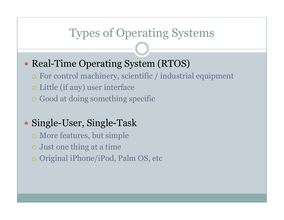# Types of Operating Systems

- Real-Time Operating System (RTOS)
	- For control machinery, scientific / industrial equipment
	- Little (if any) user interface
	- Good at doing something specific

#### • Single-User, Single-Task

- More features, but simple
- Just one thing at a time
- Original iPhone/iPod, Palm OS, etc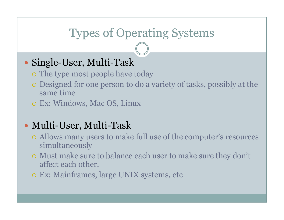# Types of Operating Systems

- Single-User, Multi-Task
	- The type most people have today
	- Designed for one person to do a variety of tasks, possibly at the same time
	- Ex: Windows, Mac OS, Linux

### Multi-User, Multi-Task

- Allows many users to make full use of the computer's resources simultaneously
- Must make sure to balance each user to make sure they don't affect each other.
- Ex: Mainframes, large UNIX systems, etc